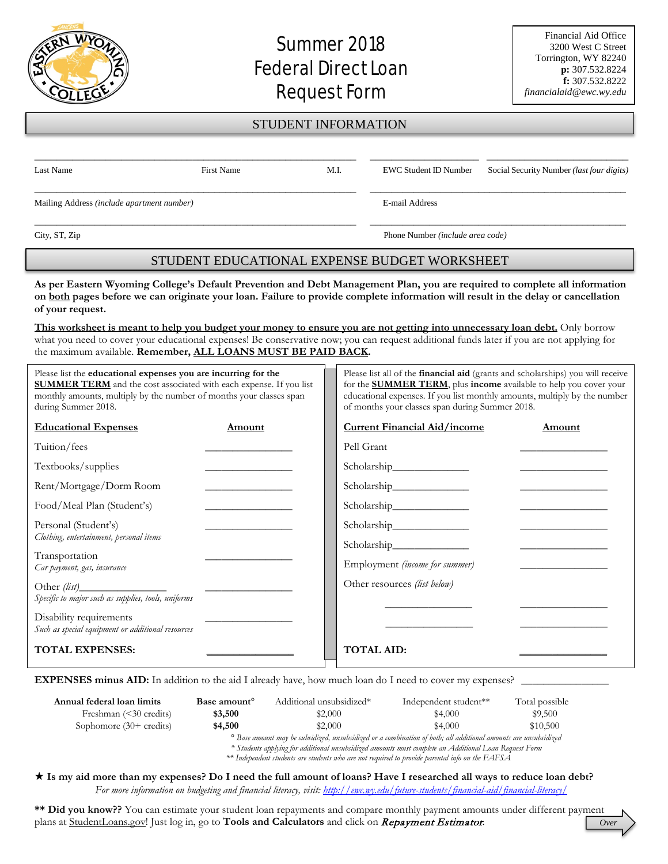## Summer 2018 **Federal Direct Loan** Request Form

## STUDENT INFORMATION

| Last Name                                  | First Name | M.I. |                | <b>EWC Student ID Number</b> Social Security Number <i>(last four digits)</i> |  |
|--------------------------------------------|------------|------|----------------|-------------------------------------------------------------------------------|--|
| Mailing Address (include apartment number) |            |      | E-mail Address |                                                                               |  |

City, ST, Zip Phone Number *(include area code)*

## STUDENT EDUCATIONAL EXPENSE BUDGET WORKSHEET

**As per Eastern Wyoming College's Default Prevention and Debt Management Plan, you are required to complete all information on both pages before we can originate your loan. Failure to provide complete information will result in the delay or cancellation of your request.**

**This worksheet is meant to help you budget your money to ensure you are not getting into unnecessary loan debt.** Only borrow what you need to cover your educational expenses! Be conservative now; you can request additional funds later if you are not applying for the maximum available. **Remember, ALL LOANS MUST BE PAID BACK.** 

| Please list the educational expenses you are incurring for the<br><b>SUMMER TERM</b> and the cost associated with each expense. If you list<br>monthly amounts, multiply by the number of months your classes span<br>during Summer 2018. |                                                | Please list all of the <b>financial aid</b> (grants and scholarships) you will receive<br>for the <b>SUMMER TERM</b> , plus income available to help you cover your<br>educational expenses. If you list monthly amounts, multiply by the number<br>of months your classes span during Summer 2018. |                                                                                                                      |  |
|-------------------------------------------------------------------------------------------------------------------------------------------------------------------------------------------------------------------------------------------|------------------------------------------------|-----------------------------------------------------------------------------------------------------------------------------------------------------------------------------------------------------------------------------------------------------------------------------------------------------|----------------------------------------------------------------------------------------------------------------------|--|
| <b>Educational Expenses</b>                                                                                                                                                                                                               | Amount                                         | <b>Current Financial Aid/income</b>                                                                                                                                                                                                                                                                 | Amount                                                                                                               |  |
| Tuition/fees                                                                                                                                                                                                                              | the control of the control of the control of   | Pell Grant                                                                                                                                                                                                                                                                                          |                                                                                                                      |  |
| Textbooks/supplies                                                                                                                                                                                                                        | <u> 2000 - Jan James Barnett, mars et al.</u>  |                                                                                                                                                                                                                                                                                                     |                                                                                                                      |  |
| Rent/Mortgage/Dorm Room                                                                                                                                                                                                                   | <u> 1980 - Johann Barbara, martin a</u>        |                                                                                                                                                                                                                                                                                                     | <u> Alexandria de la contenentación de la contenentación de la contenentación de la contenentación de la contene</u> |  |
| Food/Meal Plan (Student's)                                                                                                                                                                                                                | <u> The Communication of the Communication</u> |                                                                                                                                                                                                                                                                                                     |                                                                                                                      |  |
| Personal (Student's)                                                                                                                                                                                                                      |                                                |                                                                                                                                                                                                                                                                                                     |                                                                                                                      |  |
| Clothing, entertainment, personal items                                                                                                                                                                                                   |                                                |                                                                                                                                                                                                                                                                                                     |                                                                                                                      |  |
| Transportation<br>Car payment, gas, insurance                                                                                                                                                                                             |                                                | Employment (income for summer)                                                                                                                                                                                                                                                                      |                                                                                                                      |  |
| Specific to major such as supplies, tools, uniforms                                                                                                                                                                                       |                                                | Other resources (list below)                                                                                                                                                                                                                                                                        |                                                                                                                      |  |
|                                                                                                                                                                                                                                           |                                                |                                                                                                                                                                                                                                                                                                     |                                                                                                                      |  |
| Disability requirements<br>Such as special equipment or additional resources                                                                                                                                                              |                                                |                                                                                                                                                                                                                                                                                                     |                                                                                                                      |  |
| <b>TOTAL EXPENSES:</b>                                                                                                                                                                                                                    |                                                | <b>TOTAL AID:</b>                                                                                                                                                                                                                                                                                   |                                                                                                                      |  |
|                                                                                                                                                                                                                                           |                                                |                                                                                                                                                                                                                                                                                                     |                                                                                                                      |  |

**EXPENSES minus AID:** In addition to the aid I already have, how much loan do I need to cover my expenses?

| Annual federal loan limits<br>Freshman $(30 credits)$ | Base amount <sup>o</sup><br>\$3,500                                                                                                                                                                                                 | Additional unsubsidized*<br>\$2,000 | Independent student**<br>\$4,000 | Total possible<br>\$9,500 |
|-------------------------------------------------------|-------------------------------------------------------------------------------------------------------------------------------------------------------------------------------------------------------------------------------------|-------------------------------------|----------------------------------|---------------------------|
| Sophomore $(30+$ credits)                             | \$4,500                                                                                                                                                                                                                             | \$2,000                             | \$4,000                          | \$10,500                  |
|                                                       | <sup>o</sup> Base amount may be subsidized, unsubsidized or a combination of both; all additional amounts are unsubsidized<br>* Students applying for additional unsubsidized amounts must complete an Additional Loan Request Form |                                     |                                  |                           |

*\*\* Independent students are students who are not required to provide parental info on the FAFSA*

 **Is my aid more than my expenses? Do I need the full amount of loans? Have I researched all ways to reduce loan debt?** *For more information on budgeting and financial literacy, visit:<http://ewc.wy.edu/future-students/financial-aid/financial-literacy/>*

**\*\* Did you know??** You can estimate your student loan repayments and compare monthly payment amounts under different payment plans at StudentLoans.gov! Just log in, go to **Tools and Calculators** and click on Repayment Estimator. *Over*